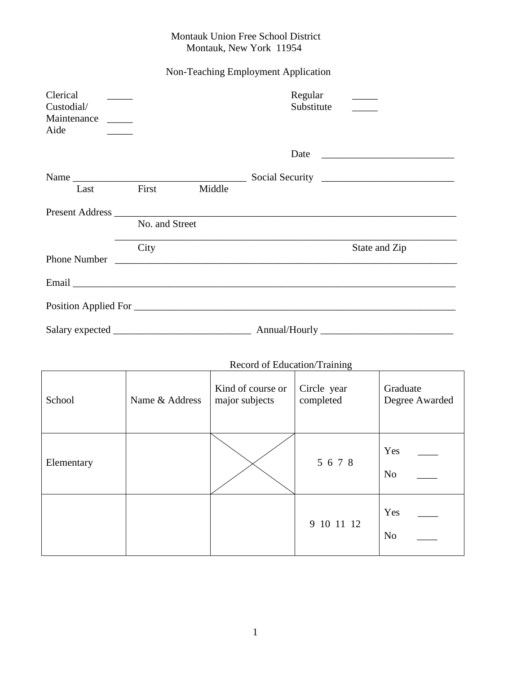## Montauk Union Free School District Montauk, New York 11954

## Non-Teaching Employment Application

| Clerical<br>Custodial/<br>Maintenance _____<br>Aide                           |       |        | Regular<br>Substitute                                                                                                                                                                                                          |               |
|-------------------------------------------------------------------------------|-------|--------|--------------------------------------------------------------------------------------------------------------------------------------------------------------------------------------------------------------------------------|---------------|
|                                                                               |       |        |                                                                                                                                                                                                                                |               |
|                                                                               |       |        |                                                                                                                                                                                                                                |               |
| Last                                                                          | First | Middle |                                                                                                                                                                                                                                |               |
|                                                                               |       |        | Present Address and the contract of the contract of the contract of the contract of the contract of the contract of the contract of the contract of the contract of the contract of the contract of the contract of the contra |               |
| No. and Street<br><u> 1989 - Johann Stoff, amerikansk politiker (d. 1989)</u> |       |        |                                                                                                                                                                                                                                |               |
|                                                                               | City  |        |                                                                                                                                                                                                                                | State and Zip |
|                                                                               |       |        |                                                                                                                                                                                                                                |               |
|                                                                               |       |        |                                                                                                                                                                                                                                |               |
|                                                                               |       |        |                                                                                                                                                                                                                                |               |
|                                                                               |       |        |                                                                                                                                                                                                                                |               |

| Record of Education/Training |                |                                     |                          |                            |
|------------------------------|----------------|-------------------------------------|--------------------------|----------------------------|
| School                       | Name & Address | Kind of course or<br>major subjects | Circle year<br>completed | Graduate<br>Degree Awarded |
| Elementary                   |                |                                     | 5 6 7 8                  | Yes<br>N <sub>o</sub>      |
|                              |                |                                     | 9 10 11 12               | Yes<br>N <sub>o</sub>      |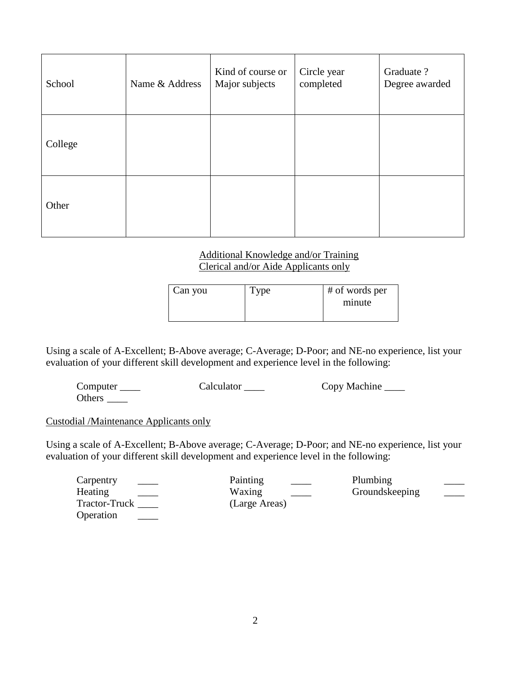| School  | Name & Address | Kind of course or<br>Major subjects | Circle year<br>completed | Graduate ?<br>Degree awarded |
|---------|----------------|-------------------------------------|--------------------------|------------------------------|
| College |                |                                     |                          |                              |
| Other   |                |                                     |                          |                              |

## Additional Knowledge and/or Training Clerical and/or Aide Applicants only

| Can you | Type | # of words per |
|---------|------|----------------|
|         |      | minute         |
|         |      |                |

Using a scale of A-Excellent; B-Above average; C-Average; D-Poor; and NE-no experience, list your evaluation of your different skill development and experience level in the following:

Computer \_\_\_\_\_ Calculator \_\_\_\_ Copy Machine \_\_\_\_ Others \_\_\_\_\_\_\_

## Custodial /Maintenance Applicants only

Using a scale of A-Excellent; B-Above average; C-Average; D-Poor; and NE-no experience, list your evaluation of your different skill development and experience level in the following:

| Carpentry        | Painting                           | Plumbing       |               |
|------------------|------------------------------------|----------------|---------------|
| Heating<br>$---$ | Waxing<br>$\overline{\phantom{a}}$ | Groundskeeping | $\frac{1}{2}$ |
| Tractor-Truck    | (Large Areas)                      |                |               |
| Operation        |                                    |                |               |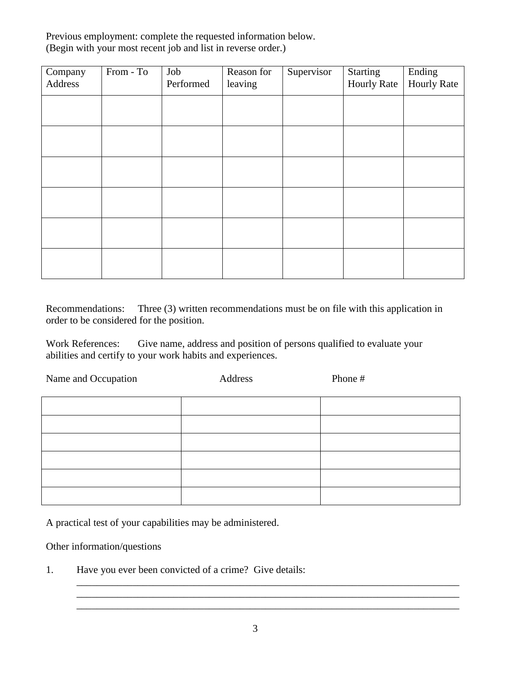Previous employment: complete the requested information below. (Begin with your most recent job and list in reverse order.)

| Company<br>Address | From - To | Job<br>Performed | Reason for<br>leaving | Supervisor | Starting<br><b>Hourly Rate</b> | Ending<br><b>Hourly Rate</b> |
|--------------------|-----------|------------------|-----------------------|------------|--------------------------------|------------------------------|
|                    |           |                  |                       |            |                                |                              |
|                    |           |                  |                       |            |                                |                              |
|                    |           |                  |                       |            |                                |                              |
|                    |           |                  |                       |            |                                |                              |
|                    |           |                  |                       |            |                                |                              |
|                    |           |                  |                       |            |                                |                              |

Recommendations: Three (3) written recommendations must be on file with this application in order to be considered for the position.

Work References: Give name, address and position of persons qualified to evaluate your abilities and certify to your work habits and experiences.

| Name and Occupation | Address | Phone # |
|---------------------|---------|---------|
|                     |         |         |
|                     |         |         |
|                     |         |         |
|                     |         |         |
|                     |         |         |
|                     |         |         |

A practical test of your capabilities may be administered.

Other information/questions

1. Have you ever been convicted of a crime? Give details:

\_\_\_\_\_\_\_\_\_\_\_\_\_\_\_\_\_\_\_\_\_\_\_\_\_\_\_\_\_\_\_\_\_\_\_\_\_\_\_\_\_\_\_\_\_\_\_\_\_\_\_\_\_\_\_\_\_\_\_\_\_\_\_\_\_\_\_\_\_\_\_\_\_\_\_ \_\_\_\_\_\_\_\_\_\_\_\_\_\_\_\_\_\_\_\_\_\_\_\_\_\_\_\_\_\_\_\_\_\_\_\_\_\_\_\_\_\_\_\_\_\_\_\_\_\_\_\_\_\_\_\_\_\_\_\_\_\_\_\_\_\_\_\_\_\_\_\_\_\_\_ \_\_\_\_\_\_\_\_\_\_\_\_\_\_\_\_\_\_\_\_\_\_\_\_\_\_\_\_\_\_\_\_\_\_\_\_\_\_\_\_\_\_\_\_\_\_\_\_\_\_\_\_\_\_\_\_\_\_\_\_\_\_\_\_\_\_\_\_\_\_\_\_\_\_\_